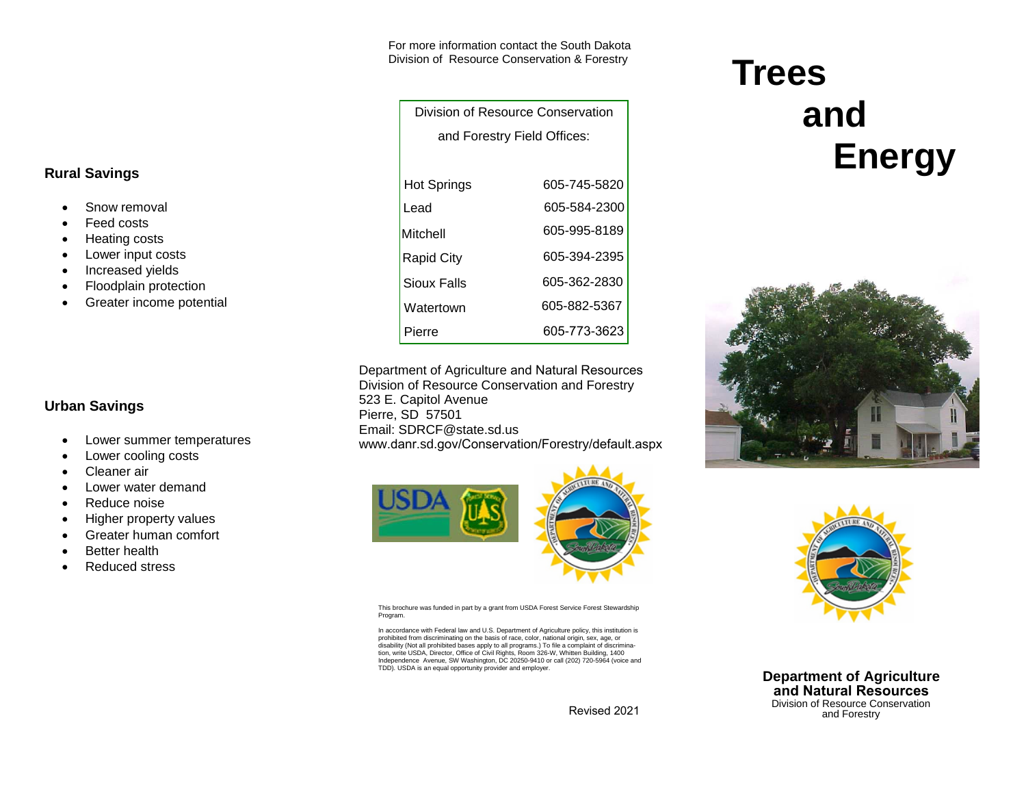For more information contact the South Dakota Division of Resource Conservation & Forestry

> Division of Resource Conservation and Forestry Field Offices:

| <b>Hot Springs</b> | 605-745-5820 |
|--------------------|--------------|
| Lead               | 605-584-2300 |
| Mitchell           | 605-995-8189 |
| Rapid City         | 605-394-2395 |
| Sioux Falls        | 605-362-2830 |
| Watertown          | 605-882-5367 |
| Pierre             | 605-773-3623 |

Department of Agriculture and Natural ResourcesDivision of Resource Conservation and Forestry 523 E. Capitol Avenue Pierre, SD 57501 Email: SDRCF@state.sd.us www.danr.sd.gov/Conservation/Forestry/default.aspx



This brochure was funded in part by a grant from USDA Forest Service Forest Stewardship Program.

In accordance with Federal law and U.S. Department of Agriculture policy, this institution is prohibited from discriminating on the basis of race, color, national origin, sex, age, or disability (Not all prohibited bases apply to all programs.) To file a complaint of discrimination, write USDA, Director, Office of Civil Rights, Room 326-W, Whitten Building, 1400Independence Avenue, SW Washington, DC 20250-9410 or call (202) 720-5964 (voice and<br>TDD) USDA is an equal opportunity provider and employer TDD). USDA is an equal opportunity provider and employer.

Revised 2021

# **Trees and Energy**





**Department of Agricultureand Natural Resources** Division of Resource Conservation and Forestry

### **Rural Savings**

- •Snow removal
- •Feed costs
- •Heating costs
- •Lower input costs
- •Increased yields
- •Floodplain protection
- •Greater income potential

#### **Urban Savings**

- •Lower summer temperatures
- •Lower cooling costs
- •Cleaner air
- •Lower water demand
- •Reduce noise
- •Higher property values
- •Greater human comfort
- •Better health
- •Reduced stress